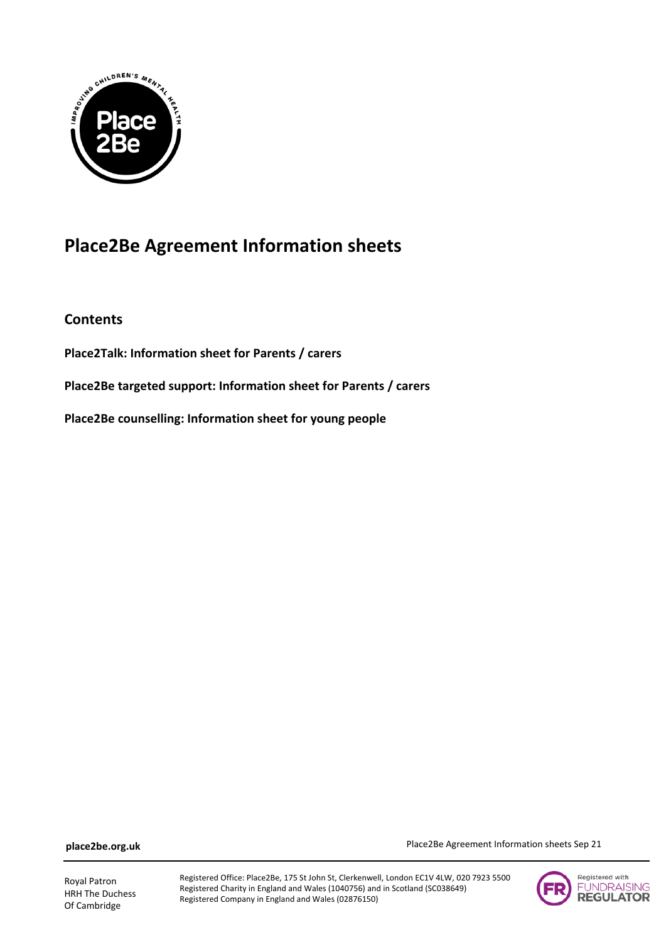

# **Place2Be Agreement Information sheets**

**Contents**

**Place2Talk: Information sheet for Parents / carers**

**Place2Be targeted support: Information sheet for Parents / carers**

**Place2Be counselling: Information sheet for young people**

**place2be.org.uk**

Royal Patron HRH The Duchess Of Cambridge

Registered Office: Place2Be, 175 St John St, Clerkenwell, London EC1V 4LW, 020 7923 5500 Registered Charity in England and Wales (1040756) and in Scotland (SC038649) Registered Company in England and Wales (02876150)



Place2Be Agreement Information sheets Sep 21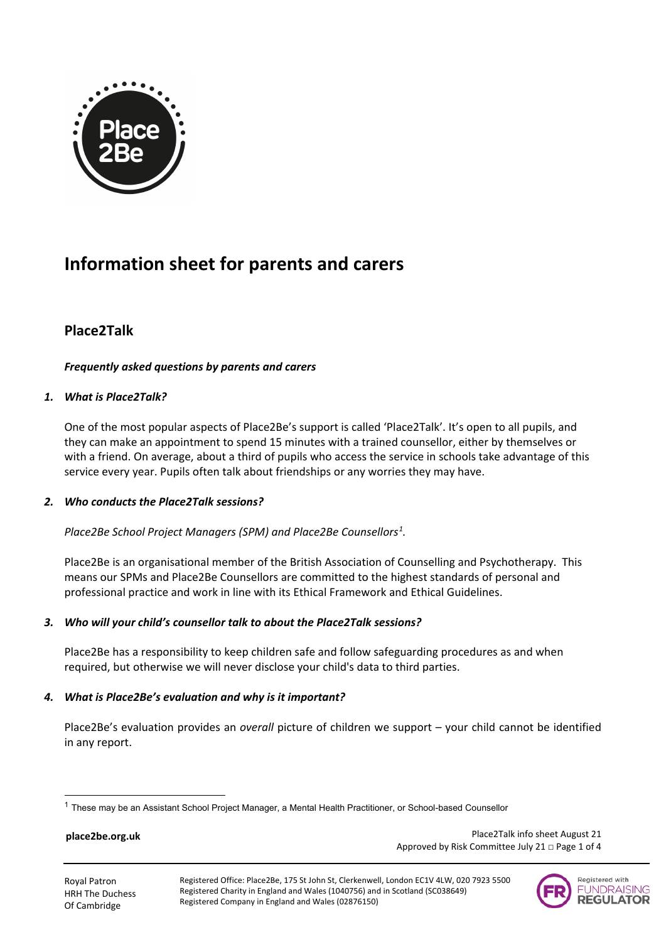

# **Information sheet for parents and carers**

## **Place2Talk**

## *Frequently asked questions by parents and carers*

## *1. What is Place2Talk?*

One of the most popular aspects of Place2Be's support is called 'Place2Talk'. It's open to all pupils, and they can make an appointment to spend 15 minutes with a trained counsellor, either by themselves or with a friend. On average, about a third of pupils who access the service in schools take advantage of this service every year. Pupils often talk about friendships or any worries they may have.

## *2. Who conducts the Place2Talk sessions?*

*Place2Be School Project Managers (SPM) and Place2Be Counsellors[1](#page-1-0) .*

Place2Be is an organisational member of the British Association of Counselling and Psychotherapy. This means our SPMs and Place2Be Counsellors are committed to the highest standards of personal and professional practice and work in line with its Ethical Framework and Ethical Guidelines.

## *3. Who will your child's counsellor talk to about the Place2Talk sessions?*

Place2Be has a responsibility to keep children safe and follow safeguarding procedures as and when required, but otherwise we will never disclose your child's data to third parties.

## *4. What is Place2Be's evaluation and why is it important?*

Place2Be's evaluation provides an *overall* picture of children we support – your child cannot be identified in any report.

#### **place2be.org.uk**

 Place2Talk info sheet August 21 Approved by Risk Committee July 21 □ Page 1 of 4



<span id="page-1-0"></span> $1$  These may be an Assistant School Project Manager, a Mental Health Practitioner, or School-based Counsellor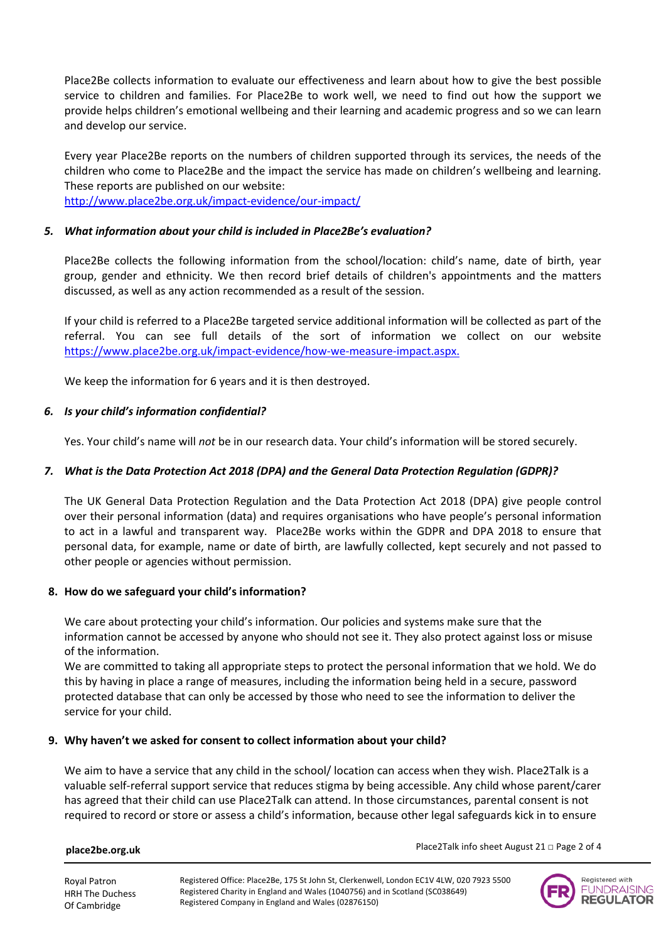Place2Be collects information to evaluate our effectiveness and learn about how to give the best possible service to children and families. For Place2Be to work well, we need to find out how the support we provide helps children's emotional wellbeing and their learning and academic progress and so we can learn and develop our service.

Every year Place2Be reports on the numbers of children supported through its services, the needs of the children who come to Place2Be and the impact the service has made on children's wellbeing and learning. These reports are published on our website: <http://www.place2be.org.uk/impact-evidence/our-impact/>

## *5. What information about your child is included in Place2Be's evaluation?*

Place2Be collects the following information from the school/location: child's name, date of birth, year group, gender and ethnicity. We then record brief details of children's appointments and the matters discussed, as well as any action recommended as a result of the session.

If your child is referred to a Place2Be targeted service additional information will be collected as part of the referral. You can see full details of the sort of information we collect on our website https://www.place2be.org.uk/impact-evidence/how-we-measure-impact.aspx.

We keep the information for 6 years and it is then destroyed.

#### *6. Is your child's information confidential?*

Yes. Your child's name will *not* be in our research data. Your child's information will be stored securely.

#### *7. What is the Data Protection Act 2018 (DPA) and the General Data Protection Regulation (GDPR)?*

The UK General Data Protection Regulation and the Data Protection Act 2018 (DPA) give people control over their personal information (data) and requires organisations who have people's personal information to act in a lawful and transparent way. Place2Be works within the GDPR and DPA 2018 to ensure that personal data, for example, name or date of birth, are lawfully collected, kept securely and not passed to other people or agencies without permission.

#### **8. How do we safeguard your child's information?**

We care about protecting your child's information. Our policies and systems make sure that the information cannot be accessed by anyone who should not see it. They also protect against loss or misuse of the information.

We are committed to taking all appropriate steps to protect the personal information that we hold. We do this by having in place a range of measures, including the information being held in a secure, password protected database that can only be accessed by those who need to see the information to deliver the service for your child.

#### **9. Why haven't we asked for consent to collect information about your child?**

We aim to have a service that any child in the school/ location can access when they wish. Place2Talk is a valuable self-referral support service that reduces stigma by being accessible. Any child whose parent/carer has agreed that their child can use Place2Talk can attend. In those circumstances, parental consent is not required to record or store or assess a child's information, because other legal safeguards kick in to ensure

#### **place2be.org.uk**

Place2Talk info sheet August 21 □ Page 2 of 4



Royal Patron HRH The Duchess Of Cambridge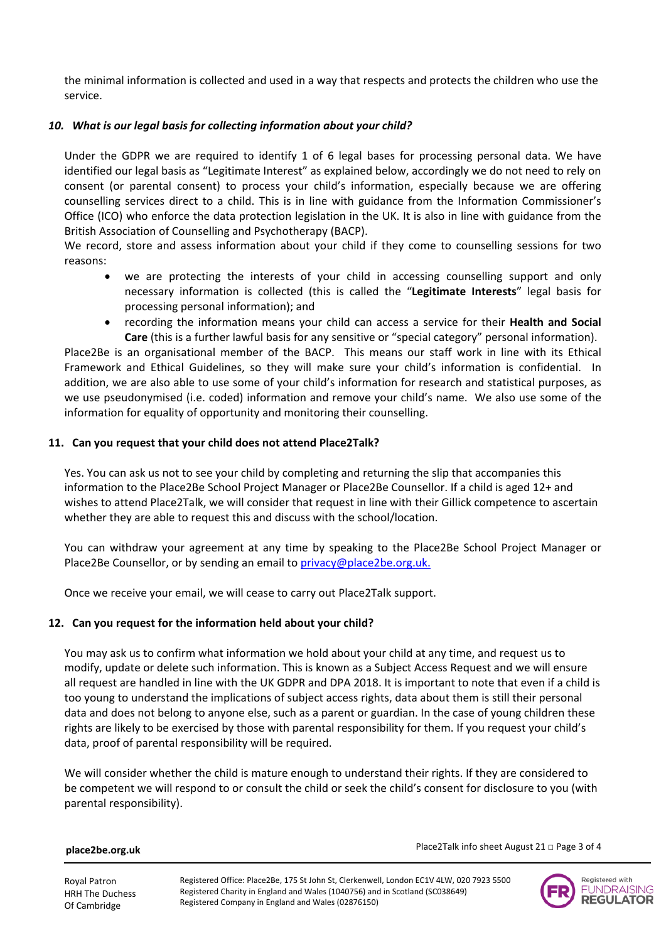the minimal information is collected and used in a way that respects and protects the children who use the service.

### *10. What is our legal basis for collecting information about your child?*

Under the GDPR we are required to identify 1 of 6 legal bases for processing personal data. We have identified our legal basis as "Legitimate Interest" as explained below, accordingly we do not need to rely on consent (or parental consent) to process your child's information, especially because we are offering counselling services direct to a child. This is in line with guidance from the Information Commissioner's Office (ICO) who enforce the data protection legislation in the UK. It is also in line with guidance from the British Association of Counselling and Psychotherapy (BACP).

We record, store and assess information about your child if they come to counselling sessions for two reasons:

- we are protecting the interests of your child in accessing counselling support and only necessary information is collected (this is called the "**Legitimate Interests**" legal basis for processing personal information); and
- recording the information means your child can access a service for their **Health and Social Care** (this is a further lawful basis for any sensitive or "special category" personal information).

Place2Be is an organisational member of the BACP. This means our staff work in line with its Ethical Framework and Ethical Guidelines, so they will make sure your child's information is confidential. In addition, we are also able to use some of your child's information for research and statistical purposes, as we use pseudonymised (i.e. coded) information and remove your child's name. We also use some of the information for equality of opportunity and monitoring their counselling.

#### **11. Can you request that your child does not attend Place2Talk?**

Yes. You can ask us not to see your child by completing and returning the slip that accompanies this information to the Place2Be School Project Manager or Place2Be Counsellor. If a child is aged 12+ and wishes to attend Place2Talk, we will consider that request in line with their Gillick competence to ascertain whether they are able to request this and discuss with the school/location.

You can withdraw your agreement at any time by speaking to the Place2Be School Project Manager or Place2Be Counsellor, or by sending an email to [privacy@place2be.org.uk.](mailto:privacy@place2be.org.uk)

Once we receive your email, we will cease to carry out Place2Talk support.

## **12. Can you request for the information held about your child?**

You may ask us to confirm what information we hold about your child at any time, and request us to modify, update or delete such information. This is known as a Subject Access Request and we will ensure all request are handled in line with the UK GDPR and DPA 2018. It is important to note that even if a child is too young to understand the implications of subject access rights, data about them is still their personal data and does not belong to anyone else, such as a parent or guardian. In the case of young children these rights are likely to be exercised by those with parental responsibility for them. If you request your child's data, proof of parental responsibility will be required.

We will consider whether the child is mature enough to understand their rights. If they are considered to be competent we will respond to or consult the child or seek the child's consent for disclosure to you (with parental responsibility).

**place2be.org.uk**

Place2Talk info sheet August 21 □ Page 3 of 4

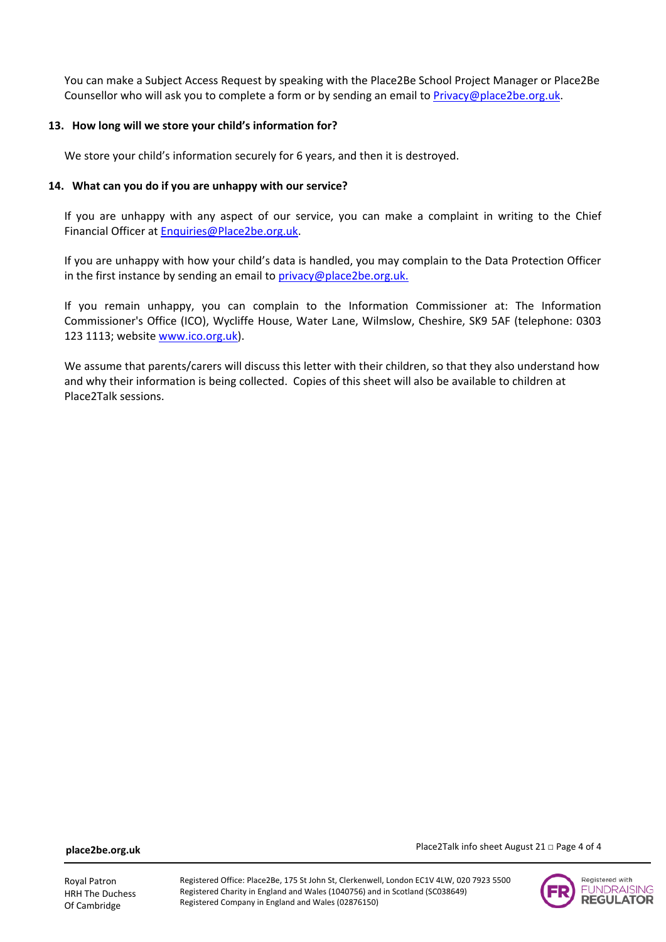You can make a Subject Access Request by speaking with the Place2Be School Project Manager or Place2Be Counsellor who will ask you to complete a form or by sending an email to [Privacy@place2be.org.uk.](mailto:Privacy@place2be.org.uk)

#### **13. How long will we store your child's information for?**

We store your child's information securely for 6 years, and then it is destroyed.

#### **14. What can you do if you are unhappy with our service?**

If you are unhappy with any aspect of our service, you can make a complaint in writing to the Chief Financial Officer at [Enquiries@Place2be.org.uk.](mailto:Enquiries@Place2be.org.uk)

If you are unhappy with how your child's data is handled, you may complain to the Data Protection Officer in the first instance by sending an email to [privacy@place2be.org.uk.](mailto:privacy@place2be.org.uk)

If you remain unhappy, you can complain to the Information Commissioner at: The Information Commissioner's Office (ICO), Wycliffe House, Water Lane, Wilmslow, Cheshire, SK9 5AF (telephone: 0303 123 1113; website [www.ico.org.uk\)](http://www.ico.org.uk/).

We assume that parents/carers will discuss this letter with their children, so that they also understand how and why their information is being collected. Copies of this sheet will also be available to children at Place2Talk sessions.

**place2be.org.uk**



Place2Talk info sheet August 21 □ Page 4 of 4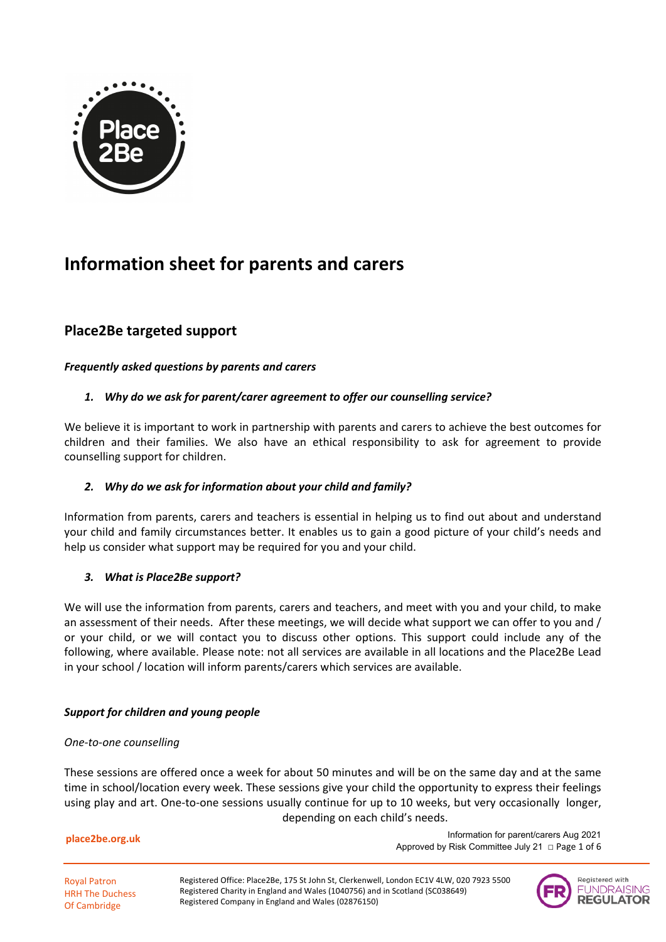

# **Information sheet for parents and carers**

## **Place2Be targeted support**

## *Frequently asked questions by parents and carers*

## *1. Why do we ask for parent/carer agreement to offer our counselling service?*

We believe it is important to work in partnership with parents and carers to achieve the best outcomes for children and their families. We also have an ethical responsibility to ask for agreement to provide counselling support for children.

## *2. Why do we ask for information about your child and family?*

Information from parents, carers and teachers is essential in helping us to find out about and understand your child and family circumstances better. It enables us to gain a good picture of your child's needs and help us consider what support may be required for you and your child.

## *3. What is Place2Be support?*

We will use the information from parents, carers and teachers, and meet with you and your child, to make an assessment of their needs. After these meetings, we will decide what support we can offer to you and / or your child, or we will contact you to discuss other options. This support could include any of the following, where available. Please note: not all services are available in all locations and the Place2Be Lead in your school / location will inform parents/carers which services are available.

## *Support for children and young people*

## *One-to-one counselling*

These sessions are offered once a week for about 50 minutes and will be on the same day and at the same time in school/location every week. These sessions give your child the opportunity to express their feelings using play and art. One-to-one sessions usually continue for up to 10 weeks, but very occasionally longer, depending on each child's needs.

**place2be.org.uk**

 Information for parent/carers Aug 2021 Approved by Risk Committee July 21  $\Box$  Page 1 of 6

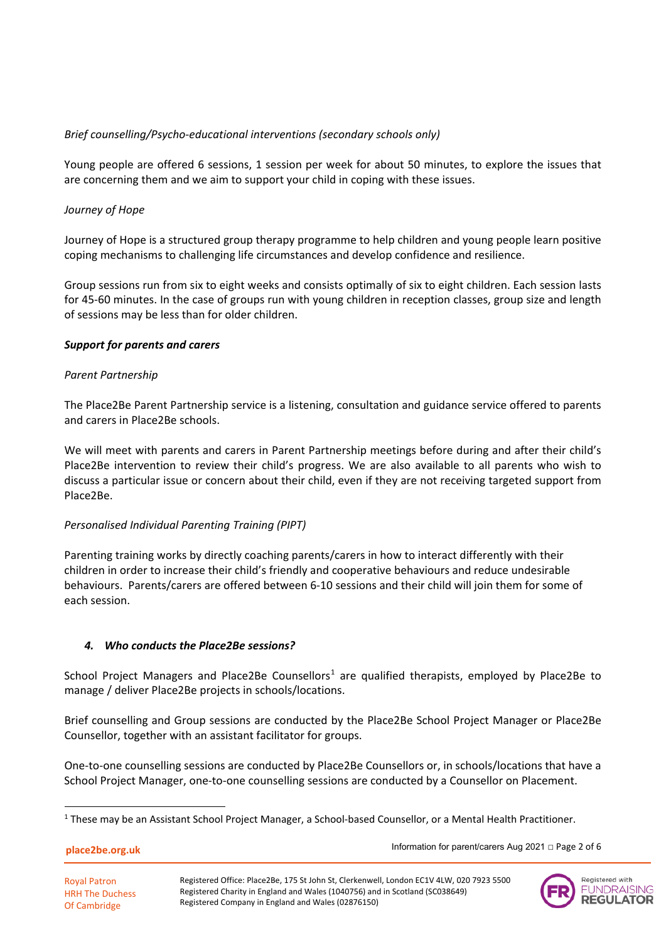## *Brief counselling/Psycho-educational interventions (secondary schools only)*

Young people are offered 6 sessions, 1 session per week for about 50 minutes, to explore the issues that are concerning them and we aim to support your child in coping with these issues.

## *Journey of Hope*

Journey of Hope is a structured group therapy programme to help children and young people learn positive coping mechanisms to challenging life circumstances and develop confidence and resilience.

Group sessions run from six to eight weeks and consists optimally of six to eight children. Each session lasts for 45-60 minutes. In the case of groups run with young children in reception classes, group size and length of sessions may be less than for older children.

## *Support for parents and carers*

#### *Parent Partnership*

The Place2Be Parent Partnership service is a listening, consultation and guidance service offered to parents and carers in Place2Be schools.

We will meet with parents and carers in Parent Partnership meetings before during and after their child's Place2Be intervention to review their child's progress. We are also available to all parents who wish to discuss a particular issue or concern about their child, even if they are not receiving targeted support from Place2Be.

## *Personalised Individual Parenting Training (PIPT)*

Parenting training works by directly coaching parents/carers in how to interact differently with their children in order to increase their child's friendly and cooperative behaviours and reduce undesirable behaviours. Parents/carers are offered between 6-10 sessions and their child will join them for some of each session.

## *4. Who conducts the Place2Be sessions?*

School Project Managers and Place2Be Counsellors<sup>[1](#page-6-0)</sup> are qualified therapists, employed by Place2Be to manage / deliver Place2Be projects in schools/locations.

Brief counselling and Group sessions are conducted by the Place2Be School Project Manager or Place2Be Counsellor, together with an assistant facilitator for groups.

One-to-one counselling sessions are conducted by Place2Be Counsellors or, in schools/locations that have a School Project Manager, one-to-one counselling sessions are conducted by a Counsellor on Placement.

**place2be.org.uk**

Information for parent/carers Aug 2021 □ Page 2 of 6



<span id="page-6-0"></span> $1$  These may be an Assistant School Project Manager, a School-based Counsellor, or a Mental Health Practitioner.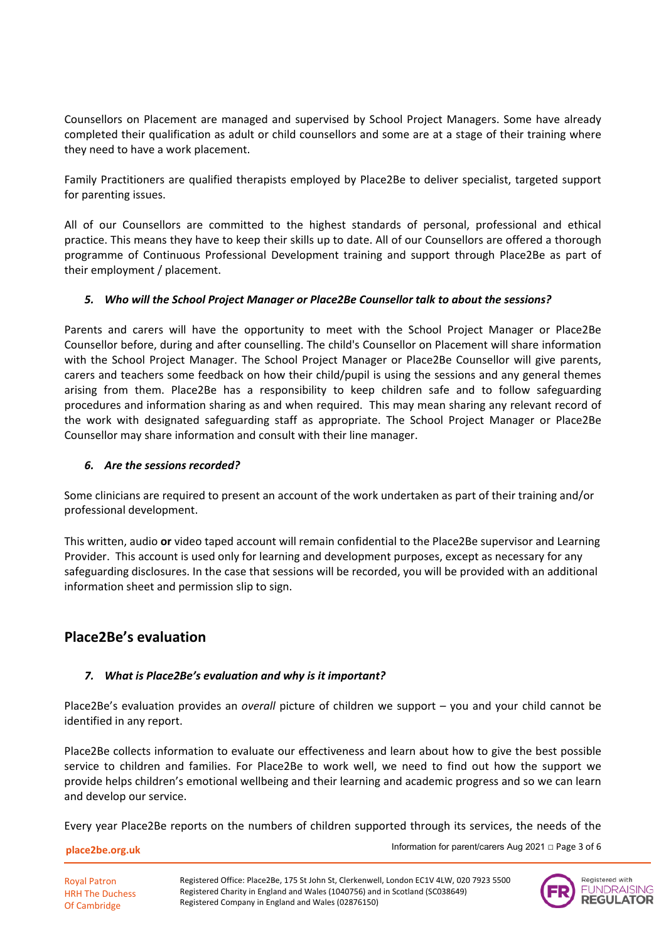Counsellors on Placement are managed and supervised by School Project Managers. Some have already completed their qualification as adult or child counsellors and some are at a stage of their training where they need to have a work placement.

Family Practitioners are qualified therapists employed by Place2Be to deliver specialist, targeted support for parenting issues.

All of our Counsellors are committed to the highest standards of personal, professional and ethical practice. This means they have to keep their skills up to date. All of our Counsellors are offered a thorough programme of Continuous Professional Development training and support through Place2Be as part of their employment / placement.

## *5. Who will the School Project Manager or Place2Be Counsellor talk to about the sessions?*

Parents and carers will have the opportunity to meet with the School Project Manager or Place2Be Counsellor before, during and after counselling. The child's Counsellor on Placement will share information with the School Project Manager. The School Project Manager or Place2Be Counsellor will give parents, carers and teachers some feedback on how their child/pupil is using the sessions and any general themes arising from them. Place2Be has a responsibility to keep children safe and to follow safeguarding procedures and information sharing as and when required. This may mean sharing any relevant record of the work with designated safeguarding staff as appropriate. The School Project Manager or Place2Be Counsellor may share information and consult with their line manager.

## *6. Are the sessions recorded?*

Some clinicians are required to present an account of the work undertaken as part of their training and/or professional development.

This written, audio **or** video taped account will remain confidential to the Place2Be supervisor and Learning Provider. This account is used only for learning and development purposes, except as necessary for any safeguarding disclosures. In the case that sessions will be recorded, you will be provided with an additional information sheet and permission slip to sign.

## **Place2Be's evaluation**

## *7. What is Place2Be's evaluation and why is it important?*

Place2Be's evaluation provides an *overall* picture of children we support – you and your child cannot be identified in any report.

Place2Be collects information to evaluate our effectiveness and learn about how to give the best possible service to children and families. For Place2Be to work well, we need to find out how the support we provide helps children's emotional wellbeing and their learning and academic progress and so we can learn and develop our service.

Every year Place2Be reports on the numbers of children supported through its services, the needs of the

#### **place2be.org.uk**

Royal Patron HRH The Duchess Of Cambridge

Information for parent/carers Aug 2021 □ Page 3 of 6

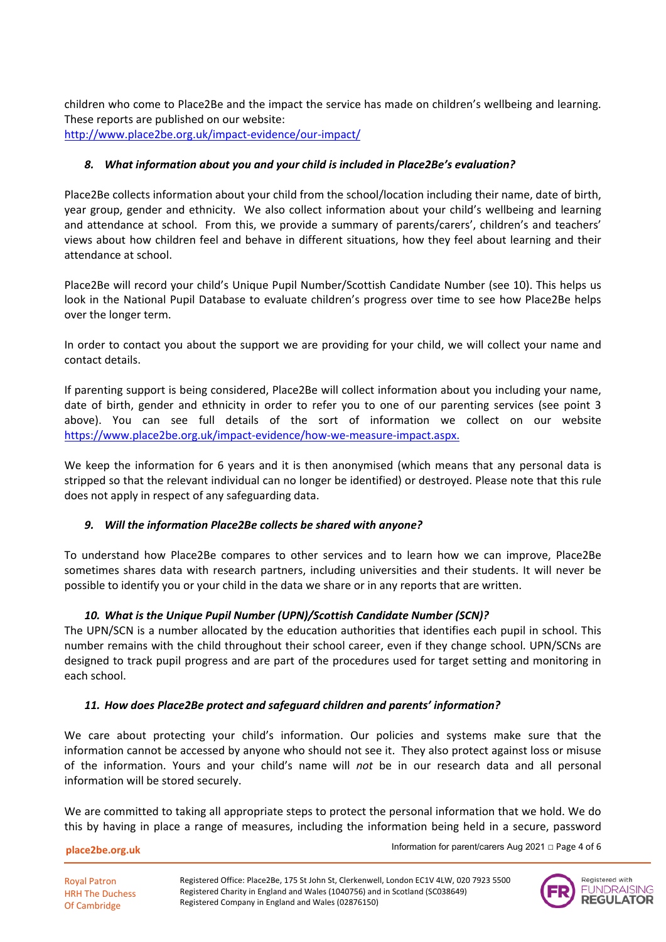children who come to Place2Be and the impact the service has made on children's wellbeing and learning. These reports are published on our website: <http://www.place2be.org.uk/impact-evidence/our-impact/>

## *8. What information about you and your child is included in Place2Be's evaluation?*

Place2Be collects information about your child from the school/location including their name, date of birth, year group, gender and ethnicity. We also collect information about your child's wellbeing and learning and attendance at school. From this, we provide a summary of parents/carers', children's and teachers' views about how children feel and behave in different situations, how they feel about learning and their attendance at school.

Place2Be will record your child's Unique Pupil Number/Scottish Candidate Number (see 10). This helps us look in the National Pupil Database to evaluate children's progress over time to see how Place2Be helps over the longer term.

In order to contact you about the support we are providing for your child, we will collect your name and contact details.

If parenting support is being considered, Place2Be will collect information about you including your name, date of birth, gender and ethnicity in order to refer you to one of our parenting services (see point 3 above). You can see full details of the sort of information we collect on our website [https://www.place2be.org.uk/impact-evidence/how-we-measure-impact.aspx.](https://www.place2be.org.uk/impact-evidence/how-we-measure-impact.aspx)

We keep the information for 6 years and it is then anonymised (which means that any personal data is stripped so that the relevant individual can no longer be identified) or destroyed. Please note that this rule does not apply in respect of any safeguarding data.

## *9. Will the information Place2Be collects be shared with anyone?*

To understand how Place2Be compares to other services and to learn how we can improve, Place2Be sometimes shares data with research partners, including universities and their students. It will never be possible to identify you or your child in the data we share or in any reports that are written.

## *10. What is the Unique Pupil Number (UPN)/Scottish Candidate Number (SCN)?*

The UPN/SCN is a number allocated by the education authorities that identifies each pupil in school. This number remains with the child throughout their school career, even if they change school. UPN/SCNs are designed to track pupil progress and are part of the procedures used for target setting and monitoring in each school.

## *11. How does Place2Be protect and safeguard children and parents' information?*

We care about protecting your child's information. Our policies and systems make sure that the information cannot be accessed by anyone who should not see it. They also protect against loss or misuse of the information. Yours and your child's name will *not* be in our research data and all personal information will be stored securely.

We are committed to taking all appropriate steps to protect the personal information that we hold. We do this by having in place a range of measures, including the information being held in a secure, password

**place2be.org.uk**

Royal Patron HRH The Duchess Of Cambridge

Information for parent/carers Aug 2021 □ Page 4 of 6

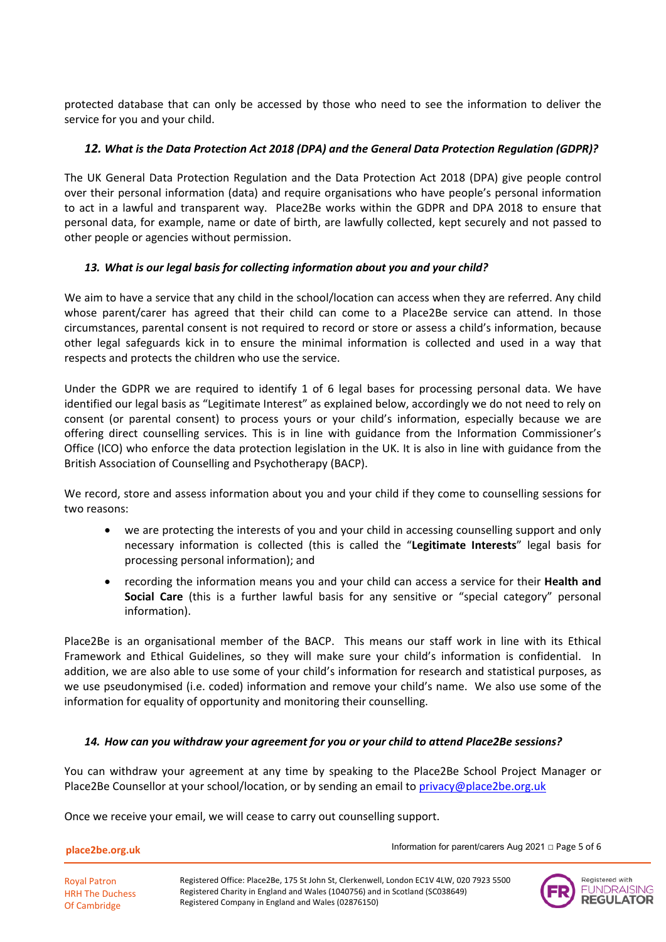protected database that can only be accessed by those who need to see the information to deliver the service for you and your child.

## *12. What is the Data Protection Act 2018 (DPA) and the General Data Protection Regulation (GDPR)?*

The UK General Data Protection Regulation and the Data Protection Act 2018 (DPA) give people control over their personal information (data) and require organisations who have people's personal information to act in a lawful and transparent way. Place2Be works within the GDPR and DPA 2018 to ensure that personal data, for example, name or date of birth, are lawfully collected, kept securely and not passed to other people or agencies without permission.

## *13. What is our legal basis for collecting information about you and your child?*

We aim to have a service that any child in the school/location can access when they are referred. Any child whose parent/carer has agreed that their child can come to a Place2Be service can attend. In those circumstances, parental consent is not required to record or store or assess a child's information, because other legal safeguards kick in to ensure the minimal information is collected and used in a way that respects and protects the children who use the service.

Under the GDPR we are required to identify 1 of 6 legal bases for processing personal data. We have identified our legal basis as "Legitimate Interest" as explained below, accordingly we do not need to rely on consent (or parental consent) to process yours or your child's information, especially because we are offering direct counselling services. This is in line with guidance from the Information Commissioner's Office (ICO) who enforce the data protection legislation in the UK. It is also in line with guidance from the British Association of Counselling and Psychotherapy (BACP).

We record, store and assess information about you and your child if they come to counselling sessions for two reasons:

- we are protecting the interests of you and your child in accessing counselling support and only necessary information is collected (this is called the "**Legitimate Interests**" legal basis for processing personal information); and
- recording the information means you and your child can access a service for their **Health and Social Care** (this is a further lawful basis for any sensitive or "special category" personal information).

Place2Be is an organisational member of the BACP. This means our staff work in line with its Ethical Framework and Ethical Guidelines, so they will make sure your child's information is confidential. In addition, we are also able to use some of your child's information for research and statistical purposes, as we use pseudonymised (i.e. coded) information and remove your child's name. We also use some of the information for equality of opportunity and monitoring their counselling.

## *14. How can you withdraw your agreement for you or your child to attend Place2Be sessions?*

You can withdraw your agreement at any time by speaking to the Place2Be School Project Manager or Place2Be Counsellor at your school/location, or by sending an email to [privacy@place2be.org.uk](mailto:privacy@place2be.org.uk)

Once we receive your email, we will cease to carry out counselling support.

**place2be.org.uk**

Royal Patron HRH The Duchess Of Cambridge

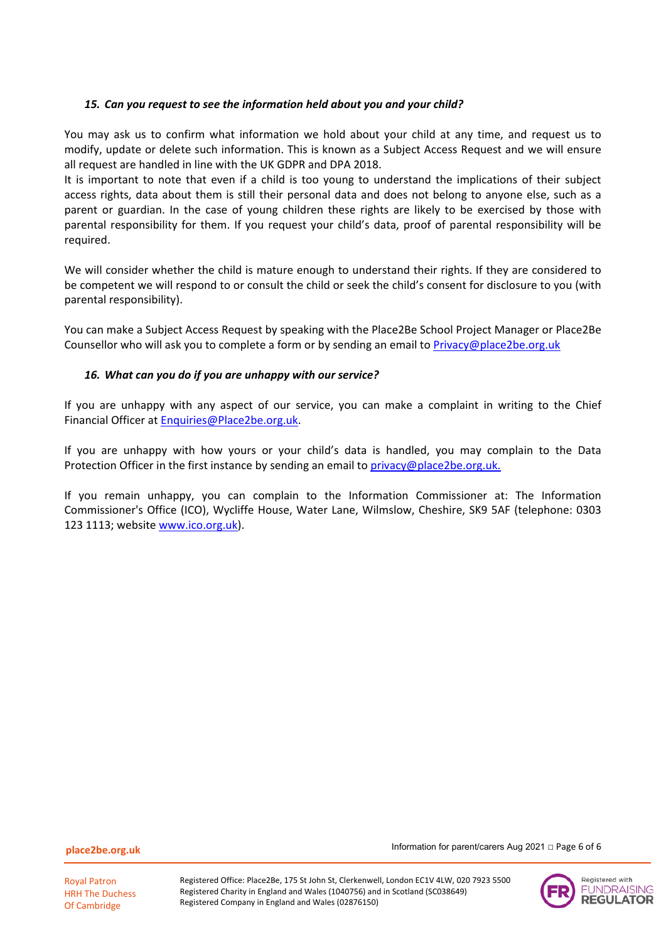### *15. Can you request to see the information held about you and your child?*

You may ask us to confirm what information we hold about your child at any time, and request us to modify, update or delete such information. This is known as a Subject Access Request and we will ensure all request are handled in line with the UK GDPR and DPA 2018.

It is important to note that even if a child is too young to understand the implications of their subject access rights, data about them is still their personal data and does not belong to anyone else, such as a parent or guardian. In the case of young children these rights are likely to be exercised by those with parental responsibility for them. If you request your child's data, proof of parental responsibility will be required.

We will consider whether the child is mature enough to understand their rights. If they are considered to be competent we will respond to or consult the child or seek the child's consent for disclosure to you (with parental responsibility).

You can make a Subject Access Request by speaking with the Place2Be School Project Manager or Place2Be Counsellor who will ask you to complete a form or by sending an email to [Privacy@place2be.org.uk](mailto:Privacy@place2be.org.uk)

#### *16. What can you do if you are unhappy with our service?*

If you are unhappy with any aspect of our service, you can make a complaint in writing to the Chief Financial Officer at [Enquiries@Place2be.org.uk.](mailto:Enquiries@Place2be.org.uk)

If you are unhappy with how yours or your child's data is handled, you may complain to the Data Protection Officer in the first instance by sending an email to [privacy@place2be.org.uk.](mailto:privacy@place2be.org.uk)

If you remain unhappy, you can complain to the Information Commissioner at: The Information Commissioner's Office (ICO), Wycliffe House, Water Lane, Wilmslow, Cheshire, SK9 5AF (telephone: 0303 123 1113; website [www.ico.org.uk\)](http://www.ico.org.uk/).

**place2be.org.uk**



Information for parent/carers Aug 2021 □ Page 6 of 6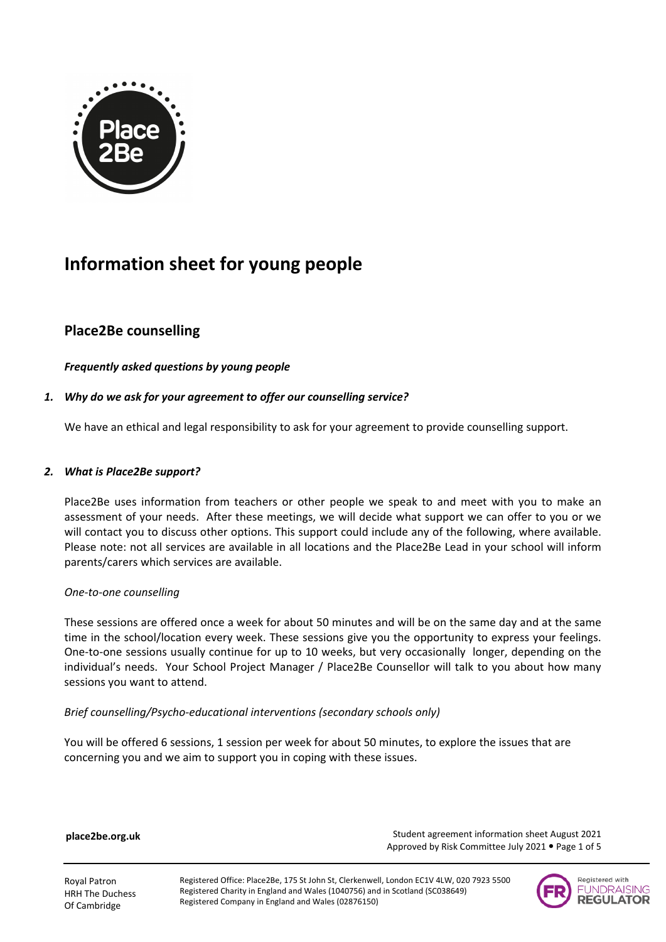

# **Information sheet for young people**

## **Place2Be counselling**

## *Frequently asked questions by young people*

## *1. Why do we ask for your agreement to offer our counselling service?*

We have an ethical and legal responsibility to ask for your agreement to provide counselling support.

## *2. What is Place2Be support?*

Place2Be uses information from teachers or other people we speak to and meet with you to make an assessment of your needs. After these meetings, we will decide what support we can offer to you or we will contact you to discuss other options. This support could include any of the following, where available. Please note: not all services are available in all locations and the Place2Be Lead in your school will inform parents/carers which services are available.

## *One-to-one counselling*

These sessions are offered once a week for about 50 minutes and will be on the same day and at the same time in the school/location every week. These sessions give you the opportunity to express your feelings. One-to-one sessions usually continue for up to 10 weeks, but very occasionally longer, depending on the individual's needs. Your School Project Manager / Place2Be Counsellor will talk to you about how many sessions you want to attend.

## *Brief counselling/Psycho-educational interventions (secondary schools only)*

You will be offered 6 sessions, 1 session per week for about 50 minutes, to explore the issues that are concerning you and we aim to support you in coping with these issues.

**place2be.org.uk**

 Student agreement information sheet August 2021 Approved by Risk Committee July 2021 . Page 1 of 5

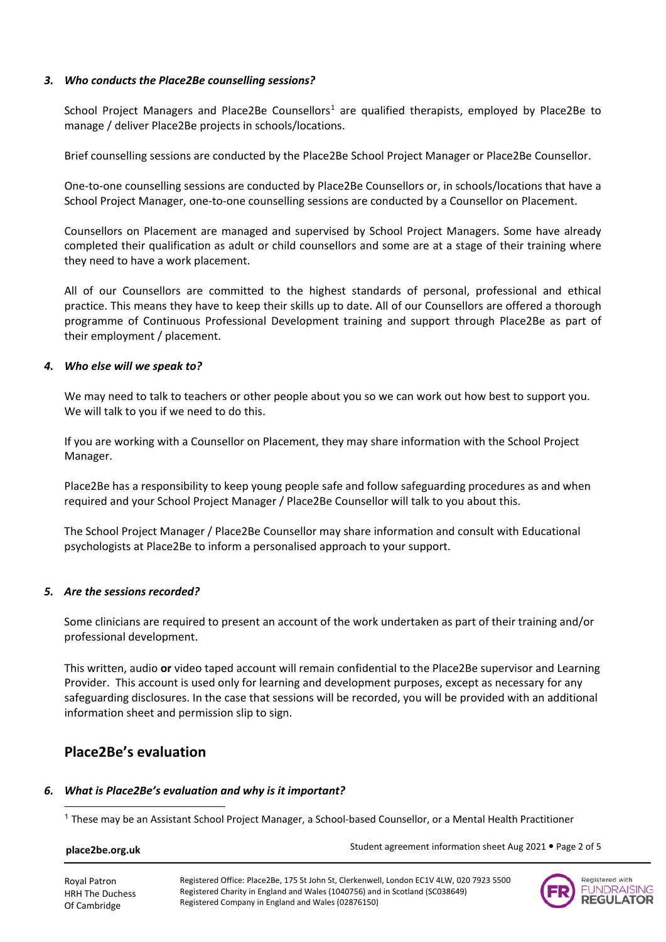### *3. Who conducts the Place2Be counselling sessions?*

School Project Managers and Place2Be Counsellors<sup>[1](#page-12-0)</sup> are qualified therapists, employed by Place2Be to manage / deliver Place2Be projects in schools/locations.

Brief counselling sessions are conducted by the Place2Be School Project Manager or Place2Be Counsellor.

One-to-one counselling sessions are conducted by Place2Be Counsellors or, in schools/locations that have a School Project Manager, one-to-one counselling sessions are conducted by a Counsellor on Placement.

Counsellors on Placement are managed and supervised by School Project Managers. Some have already completed their qualification as adult or child counsellors and some are at a stage of their training where they need to have a work placement.

All of our Counsellors are committed to the highest standards of personal, professional and ethical practice. This means they have to keep their skills up to date. All of our Counsellors are offered a thorough programme of Continuous Professional Development training and support through Place2Be as part of their employment / placement.

#### *4. Who else will we speak to?*

We may need to talk to teachers or other people about you so we can work out how best to support you. We will talk to you if we need to do this.

If you are working with a Counsellor on Placement, they may share information with the School Project Manager.

Place2Be has a responsibility to keep young people safe and follow safeguarding procedures as and when required and your School Project Manager / Place2Be Counsellor will talk to you about this.

The School Project Manager / Place2Be Counsellor may share information and consult with Educational psychologists at Place2Be to inform a personalised approach to your support.

## *5. Are the sessions recorded?*

Some clinicians are required to present an account of the work undertaken as part of their training and/or professional development.

This written, audio **or** video taped account will remain confidential to the Place2Be supervisor and Learning Provider. This account is used only for learning and development purposes, except as necessary for any safeguarding disclosures. In the case that sessions will be recorded, you will be provided with an additional information sheet and permission slip to sign.

## **Place2Be's evaluation**

## <span id="page-12-0"></span>*6. What is Place2Be's evaluation and why is it important?*

 $1$  These may be an Assistant School Project Manager, a School-based Counsellor, or a Mental Health Practitioner

## **place2be.org.uk**

Student agreement information sheet Aug 2021 . Page 2 of 5

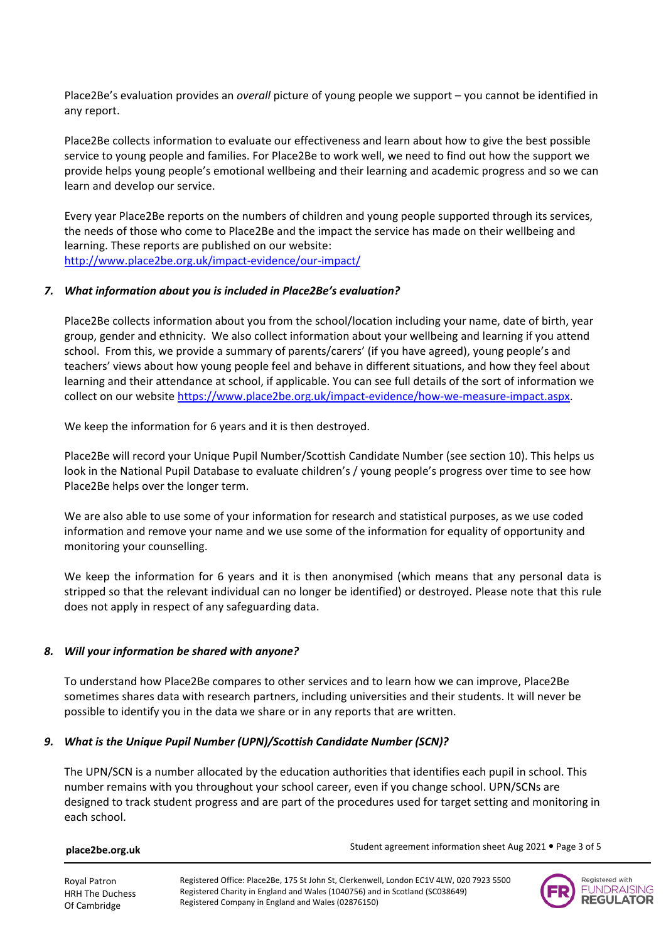Place2Be's evaluation provides an *overall* picture of young people we support – you cannot be identified in any report.

Place2Be collects information to evaluate our effectiveness and learn about how to give the best possible service to young people and families. For Place2Be to work well, we need to find out how the support we provide helps young people's emotional wellbeing and their learning and academic progress and so we can learn and develop our service.

Every year Place2Be reports on the numbers of children and young people supported through its services, the needs of those who come to Place2Be and the impact the service has made on their wellbeing and learning. These reports are published on our website: <http://www.place2be.org.uk/impact-evidence/our-impact/>

#### *7. What information about you is included in Place2Be's evaluation?*

Place2Be collects information about you from the school/location including your name, date of birth, year group, gender and ethnicity. We also collect information about your wellbeing and learning if you attend school. From this, we provide a summary of parents/carers' (if you have agreed), young people's and teachers' views about how young people feel and behave in different situations, and how they feel about learning and their attendance at school, if applicable. You can see full details of the sort of information we collect on our website https://www.place2be.org.uk/impact-evidence/how-we-measure-impact.aspx.

We keep the information for 6 years and it is then destroyed.

Place2Be will record your Unique Pupil Number/Scottish Candidate Number (see section 10). This helps us look in the National Pupil Database to evaluate children's / young people's progress over time to see how Place2Be helps over the longer term.

We are also able to use some of your information for research and statistical purposes, as we use coded information and remove your name and we use some of the information for equality of opportunity and monitoring your counselling.

We keep the information for 6 years and it is then anonymised (which means that any personal data is stripped so that the relevant individual can no longer be identified) or destroyed. Please note that this rule does not apply in respect of any safeguarding data.

## *8. Will your information be shared with anyone?*

To understand how Place2Be compares to other services and to learn how we can improve, Place2Be sometimes shares data with research partners, including universities and their students. It will never be possible to identify you in the data we share or in any reports that are written.

## *9. What is the Unique Pupil Number (UPN)/Scottish Candidate Number (SCN)?*

The UPN/SCN is a number allocated by the education authorities that identifies each pupil in school. This number remains with you throughout your school career, even if you change school. UPN/SCNs are designed to track student progress and are part of the procedures used for target setting and monitoring in each school.

#### **place2be.org.uk**

Royal Patron

Of Cambridge

Student agreement information sheet Aug 2021 . Page 3 of 5

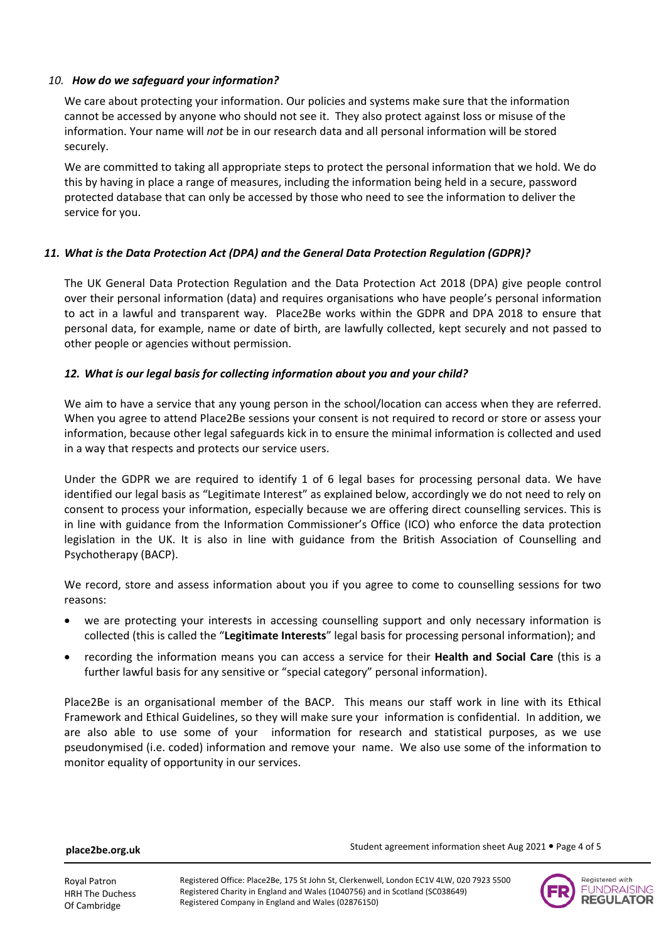### *10. How do we safeguard your information?*

We care about protecting your information. Our policies and systems make sure that the information cannot be accessed by anyone who should not see it. They also protect against loss or misuse of the information. Your name will *not* be in our research data and all personal information will be stored securely.

We are committed to taking all appropriate steps to protect the personal information that we hold. We do this by having in place a range of measures, including the information being held in a secure, password protected database that can only be accessed by those who need to see the information to deliver the service for you.

## *11. What is the Data Protection Act (DPA) and the General Data Protection Regulation (GDPR)?*

The UK General Data Protection Regulation and the Data Protection Act 2018 (DPA) give people control over their personal information (data) and requires organisations who have people's personal information to act in a lawful and transparent way. Place2Be works within the GDPR and DPA 2018 to ensure that personal data, for example, name or date of birth, are lawfully collected, kept securely and not passed to other people or agencies without permission.

#### *12. What is our legal basis for collecting information about you and your child?*

We aim to have a service that any young person in the school/location can access when they are referred. When you agree to attend Place2Be sessions your consent is not required to record or store or assess your information, because other legal safeguards kick in to ensure the minimal information is collected and used in a way that respects and protects our service users.

Under the GDPR we are required to identify 1 of 6 legal bases for processing personal data. We have identified our legal basis as "Legitimate Interest" as explained below, accordingly we do not need to rely on consent to process your information, especially because we are offering direct counselling services. This is in line with guidance from the Information Commissioner's Office (ICO) who enforce the data protection legislation in the UK. It is also in line with guidance from the British Association of Counselling and Psychotherapy (BACP).

We record, store and assess information about you if you agree to come to counselling sessions for two reasons:

- we are protecting your interests in accessing counselling support and only necessary information is collected (this is called the "**Legitimate Interests**" legal basis for processing personal information); and
- recording the information means you can access a service for their **Health and Social Care** (this is a further lawful basis for any sensitive or "special category" personal information).

Place2Be is an organisational member of the BACP. This means our staff work in line with its Ethical Framework and Ethical Guidelines, so they will make sure your information is confidential. In addition, we are also able to use some of your information for research and statistical purposes, as we use pseudonymised (i.e. coded) information and remove your name. We also use some of the information to monitor equality of opportunity in our services.

**place2be.org.uk**